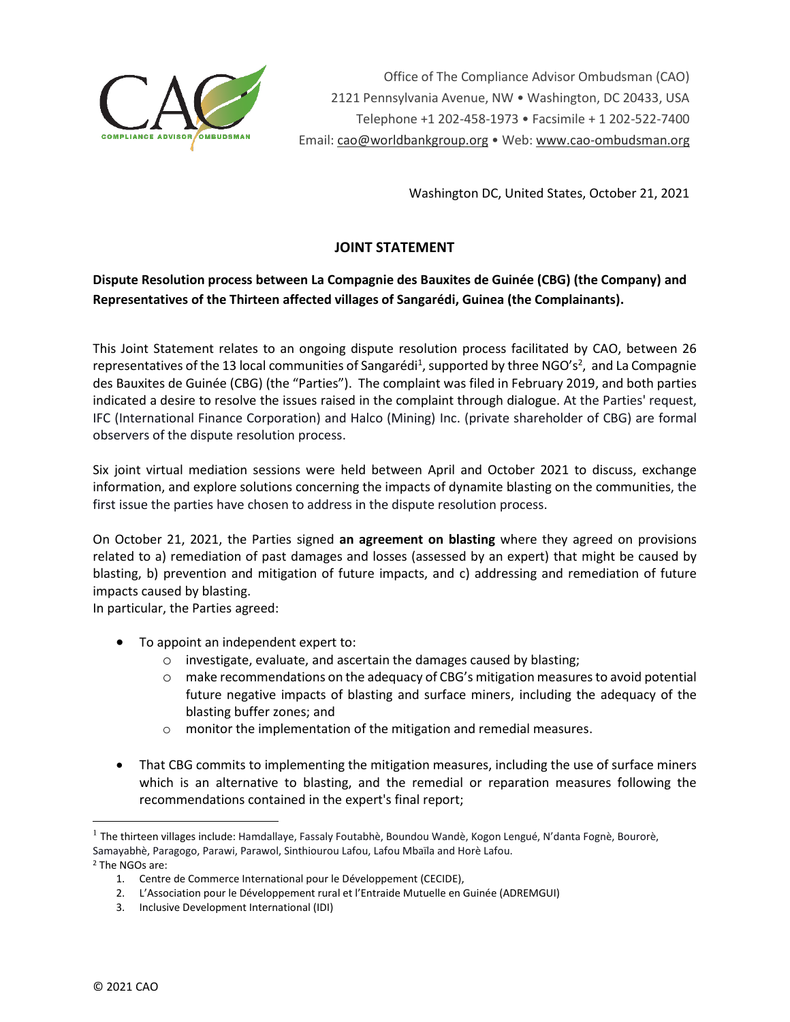

Office of The Compliance Advisor Ombudsman (CAO) 2121 Pennsylvania Avenue, NW • Washington, DC 20433, USA Telephone +1 202-458-1973 • Facsimile + 1 202-522-7400 Email[: cao@worldbankgroup.org](mailto:CAO@worldbankgroup.org) • Web: [www.cao-ombudsman.org](http://www.cao-ombudsman.org/)

Washington DC, United States, October 21, 2021

## **JOINT STATEMENT**

## **Dispute Resolution process between La Compagnie des Bauxites de Guinée (CBG) (the Company) and Representatives of the Thirteen affected villages of Sangarédi, Guinea (the Complainants).**

This Joint Statement relates to an ongoing dispute resolution process facilitated by CAO, between 26 representatives of the 13 local communities of Sangarédi<sup>1</sup>, supported by three NGO's<sup>2</sup>, and La Compagnie des Bauxites de Guinée (CBG) (the "Parties"). The complaint was filed in February 2019, and both parties indicated a desire to resolve the issues raised in the complaint through dialogue. At the Parties' request, IFC (International Finance Corporation) and Halco (Mining) Inc. (private shareholder of CBG) are formal observers of the dispute resolution process.

Six joint virtual mediation sessions were held between April and October 2021 to discuss, exchange information, and explore solutions concerning the impacts of dynamite blasting on the communities, the first issue the parties have chosen to address in the dispute resolution process.

On October 21, 2021, the Parties signed **an agreement on blasting** where they agreed on provisions related to a) remediation of past damages and losses (assessed by an expert) that might be caused by blasting, b) prevention and mitigation of future impacts, and c) addressing and remediation of future impacts caused by blasting.

In particular, the Parties agreed:

- To appoint an independent expert to:
	- o investigate, evaluate, and ascertain the damages caused by blasting;
	- $\circ$  make recommendations on the adequacy of CBG's mitigation measures to avoid potential future negative impacts of blasting and surface miners, including the adequacy of the blasting buffer zones; and
	- o monitor the implementation of the mitigation and remedial measures.
- That CBG commits to implementing the mitigation measures, including the use of surface miners which is an alternative to blasting, and the remedial or reparation measures following the recommendations contained in the expert's final report;

<sup>2</sup> The NGOs are:

<sup>&</sup>lt;sup>1</sup> The thirteen villages include: Hamdallaye, Fassaly Foutabhè, Boundou Wandè, Kogon Lengué, N'danta Fognè, Bourorè, Samayabhè, Paragogo, Parawi, Parawol, Sinthiourou Lafou, Lafou Mbaïla and Horè Lafou.

<sup>1.</sup> Centre de Commerce International pour le Développement (CECIDE),

<sup>2.</sup> L'Association pour le Développement rural et l'Entraide Mutuelle en Guinée (ADREMGUI)

<sup>3.</sup> Inclusive Development International (IDI)